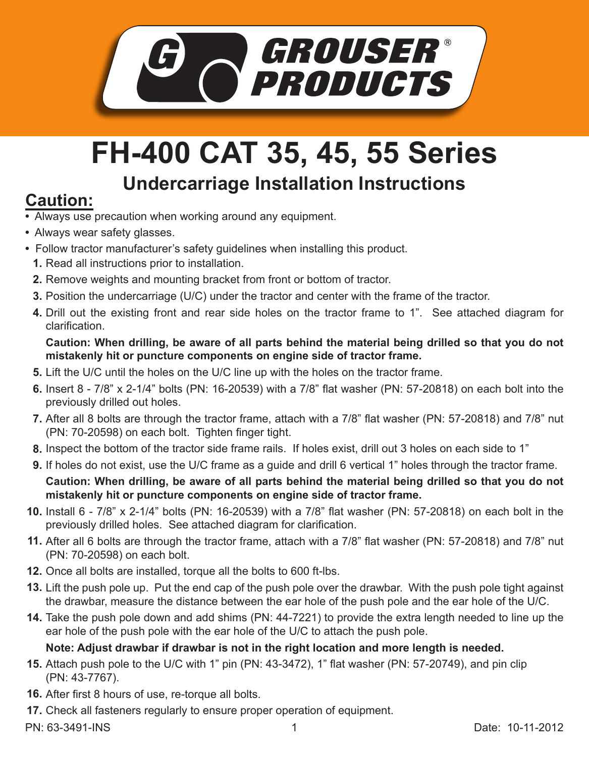

# **FH-400 CAT 35, 45, 55 Series**

## **Undercarriage Installation Instructions Caution:**

- Always use precaution when working around any equipment.
- Always wear safety glasses.
- Follow tractor manufacturer's safety guidelines when installing this product.
	- **1.** Read all instructions prior to installation.
	- **2.** Remove weights and mounting bracket from front or bottom of tractor.
	- **3.** Position the undercarriage (U/C) under the tractor and center with the frame of the tractor.
	- **4.** Drill out the existing front and rear side holes on the tractor frame to 1". See attached diagram for clarification.

#### **Caution: When drilling, be aware of all parts behind the material being drilled so that you do not mistakenly hit or puncture components on engine side of tractor frame.**

- **5.** Lift the U/C until the holes on the U/C line up with the holes on the tractor frame.
- Insert 8 7/8" x 2-1/4" bolts (PN: 16-20539) with a 7/8" flat washer (PN: 57-20818) on each bolt into the **6.** previously drilled out holes.
- 7. After all 8 bolts are through the tractor frame, attach with a 7/8" flat washer (PN: 57-20818) and 7/8" nut (PN: 70-20598) on each bolt. Tighten finger tight.
- Inspect the bottom of the tractor side frame rails. If holes exist, drill out 3 holes on each side to 1" **8.**
- **9.** If holes do not exist, use the U/C frame as a guide and drill 6 vertical 1" holes through the tractor frame.

#### **Caution: When drilling, be aware of all parts behind the material being drilled so that you do not mistakenly hit or puncture components on engine side of tractor frame.**

- **10.** Install 6 7/8" x 2-1/4" bolts (PN: 16-20539) with a 7/8" flat washer (PN: 57-20818) on each bolt in the previously drilled holes. See attached diagram for clarification.
- After all 6 bolts are through the tractor frame, attach with a 7/8" flat washer (PN: 57-20818) and 7/8" nut **11.** (PN: 70-20598) on each bolt.
- **12.** Once all bolts are installed, torque all the bolts to 600 ft-lbs.
- **13.** Lift the push pole up. Put the end cap of the push pole over the drawbar. With the push pole tight against the drawbar, measure the distance between the ear hole of the push pole and the ear hole of the U/C.
- Take the push pole down and add shims (PN: 44-7221) to provide the extra length needed to line up the **14.** ear hole of the push pole with the ear hole of the U/C to attach the push pole.

### **Note: Adjust drawbar if drawbar is not in the right location and more length is needed.**

- **15.** Attach push pole to the U/C with 1" pin (PN: 43-3472), 1" flat washer (PN: 57-20749), and pin clip (PN: 43-7767).
- **16.** After first 8 hours of use, re-torque all bolts.
- **17.** Check all fasteners regularly to ensure proper operation of equipment.
-